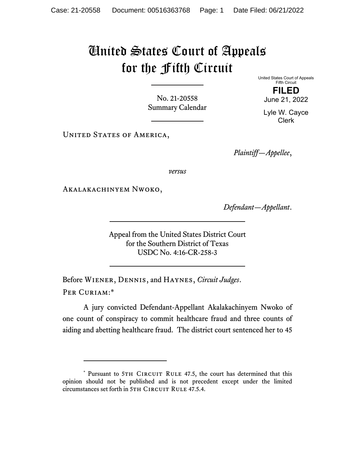## United States Court of Appeals for the Fifth Circuit

No. 21-20558 Summary Calendar United States Court of Appeals Fifth Circuit **FILED** 

June 21, 2022 Lyle W. Cayce Clerk

UNITED STATES OF AMERICA,

*Plaintiff—Appellee*,

*versus*

Akalakachinyem Nwoko,

*Defendant—Appellant*.

Appeal from the United States District Court for the Southern District of Texas USDC No. 4:16-CR-258-3

Before Wiener, Dennis, and Haynes, *Circuit Judges*. Per Curiam:\*

A jury convicted Defendant-Appellant Akalakachinyem Nwoko of one count of conspiracy to commit healthcare fraud and three counts of aiding and abetting healthcare fraud. The district court sentenced her to 45

<sup>\*</sup> Pursuant to 5TH CIRCUIT RULE 47.5, the court has determined that this opinion should not be published and is not precedent except under the limited circumstances set forth in 5TH CIRCUIT RULE 47.5.4.